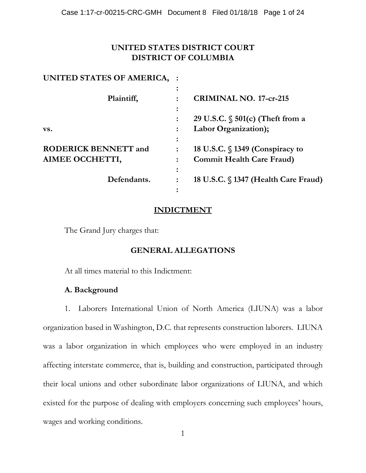# **UNITED STATES DISTRICT COURT DISTRICT OF COLUMBIA**

| UNITED STATES OF AMERICA,   |                                      |
|-----------------------------|--------------------------------------|
|                             |                                      |
| Plaintiff,                  | <b>CRIMINAL NO. 17-cr-215</b>        |
|                             |                                      |
|                             | 29 U.S.C. $\S$ 501(c) (Theft from a  |
| VS.                         | Labor Organization);                 |
|                             |                                      |
| <b>RODERICK BENNETT and</b> | 18 U.S.C. $\S$ 1349 (Conspiracy to   |
| AIMEE OCCHETTI,             | <b>Commit Health Care Fraud)</b>     |
|                             |                                      |
| Defendants.                 | 18 U.S.C. § 1347 (Health Care Fraud) |
|                             |                                      |

# **INDICTMENT**

The Grand Jury charges that:

# **GENERAL ALLEGATIONS**

At all times material to this Indictment:

# **A. Background**

1. Laborers International Union of North America (LIUNA) was a labor organization based in Washington, D.C. that represents construction laborers. LIUNA was a labor organization in which employees who were employed in an industry affecting interstate commerce, that is, building and construction, participated through their local unions and other subordinate labor organizations of LIUNA, and which existed for the purpose of dealing with employers concerning such employees' hours, wages and working conditions.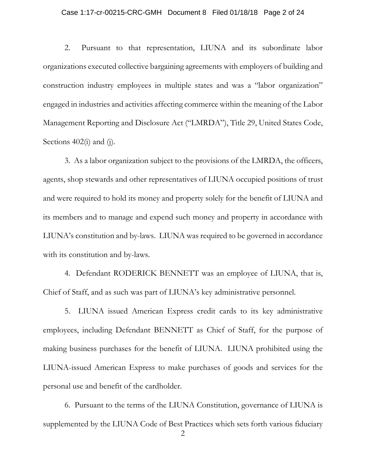#### Case 1:17-cr-00215-CRC-GMH Document 8 Filed 01/18/18 Page 2 of 24

2. Pursuant to that representation, LIUNA and its subordinate labor organizations executed collective bargaining agreements with employers of building and construction industry employees in multiple states and was a "labor organization" engaged in industries and activities affecting commerce within the meaning of the Labor Management Reporting and Disclosure Act ("LMRDA"), Title 29, United States Code, Sections  $402(i)$  and (j).

3. As a labor organization subject to the provisions of the LMRDA, the officers, agents, shop stewards and other representatives of LIUNA occupied positions of trust and were required to hold its money and property solely for the benefit of LIUNA and its members and to manage and expend such money and property in accordance with LIUNA's constitution and by-laws. LIUNA was required to be governed in accordance with its constitution and by-laws.

4. Defendant RODERICK BENNETT was an employee of LIUNA, that is, Chief of Staff, and as such was part of LIUNA's key administrative personnel.

5. LIUNA issued American Express credit cards to its key administrative employees, including Defendant BENNETT as Chief of Staff, for the purpose of making business purchases for the benefit of LIUNA. LIUNA prohibited using the LIUNA-issued American Express to make purchases of goods and services for the personal use and benefit of the cardholder.

6. Pursuant to the terms of the LIUNA Constitution, governance of LIUNA is supplemented by the LIUNA Code of Best Practices which sets forth various fiduciary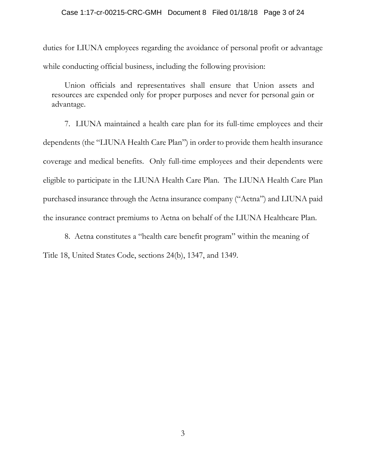#### Case 1:17-cr-00215-CRC-GMH Document 8 Filed 01/18/18 Page 3 of 24

duties for LIUNA employees regarding the avoidance of personal profit or advantage while conducting official business, including the following provision:

Union officials and representatives shall ensure that Union assets and resources are expended only for proper purposes and never for personal gain or advantage.

7. LIUNA maintained a health care plan for its full-time employees and their dependents (the "LIUNA Health Care Plan") in order to provide them health insurance coverage and medical benefits. Only full-time employees and their dependents were eligible to participate in the LIUNA Health Care Plan. The LIUNA Health Care Plan purchased insurance through the Aetna insurance company ("Aetna") and LIUNA paid the insurance contract premiums to Aetna on behalf of the LIUNA Healthcare Plan.

8. Aetna constitutes a "health care benefit program" within the meaning of Title 18, United States Code, sections 24(b), 1347, and 1349.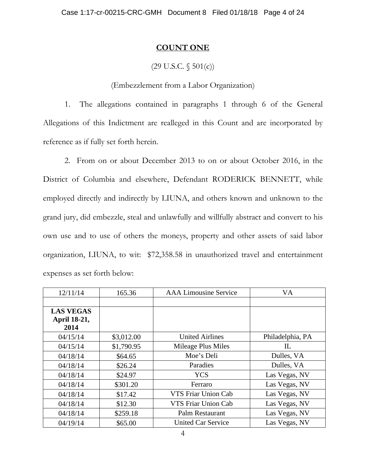## **COUNT ONE**

# $(29 \text{ U.S.C. } \S 501(c))$

## (Embezzlement from a Labor Organization)

1. The allegations contained in paragraphs 1 through 6 of the General Allegations of this Indictment are realleged in this Count and are incorporated by reference as if fully set forth herein.

2. From on or about December 2013 to on or about October 2016, in the District of Columbia and elsewhere, Defendant RODERICK BENNETT, while employed directly and indirectly by LIUNA, and others known and unknown to the grand jury, did embezzle, steal and unlawfully and willfully abstract and convert to his own use and to use of others the moneys, property and other assets of said labor organization, LIUNA, to wit: \$72,358.58 in unauthorized travel and entertainment expenses as set forth below:

| 12/11/14         | 165.36     | <b>AAA Limousine Service</b> | <b>VA</b>        |
|------------------|------------|------------------------------|------------------|
|                  |            |                              |                  |
| <b>LAS VEGAS</b> |            |                              |                  |
| April 18-21,     |            |                              |                  |
| 2014             |            |                              |                  |
| 04/15/14         | \$3,012.00 | <b>United Airlines</b>       | Philadelphia, PA |
| 04/15/14         | \$1,790.95 | Mileage Plus Miles           | IL               |
| 04/18/14         | \$64.65    | Moe's Deli                   | Dulles, VA       |
| 04/18/14         | \$26.24    | Paradies                     | Dulles, VA       |
| 04/18/14         | \$24.97    | <b>YCS</b>                   | Las Vegas, NV    |
| 04/18/14         | \$301.20   | Ferraro                      | Las Vegas, NV    |
| 04/18/14         | \$17.42    | VTS Friar Union Cab          | Las Vegas, NV    |
| 04/18/14         | \$12.30    | VTS Friar Union Cab          | Las Vegas, NV    |
| 04/18/14         | \$259.18   | Palm Restaurant              | Las Vegas, NV    |
| 04/19/14         | \$65.00    | <b>United Car Service</b>    | Las Vegas, NV    |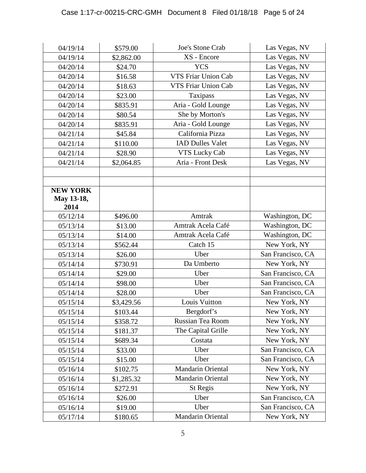| 04/19/14        | \$579.00   | Joe's Stone Crab           | Las Vegas, NV     |
|-----------------|------------|----------------------------|-------------------|
| 04/19/14        | \$2,862.00 | XS - Encore                | Las Vegas, NV     |
| 04/20/14        | \$24.70    | <b>YCS</b>                 | Las Vegas, NV     |
| 04/20/14        | \$16.58    | <b>VTS Friar Union Cab</b> | Las Vegas, NV     |
| 04/20/14        | \$18.63    | VTS Friar Union Cab        | Las Vegas, NV     |
| 04/20/14        | \$23.00    | Taxipass                   | Las Vegas, NV     |
| 04/20/14        | \$835.91   | Aria - Gold Lounge         | Las Vegas, NV     |
| 04/20/14        | \$80.54    | She by Morton's            | Las Vegas, NV     |
| 04/20/14        | \$835.91   | Aria - Gold Lounge         | Las Vegas, NV     |
| 04/21/14        | \$45.84    | California Pizza           | Las Vegas, NV     |
| 04/21/14        | \$110.00   | <b>IAD Dulles Valet</b>    | Las Vegas, NV     |
| 04/21/14        | \$28.90    | <b>VTS Lucky Cab</b>       | Las Vegas, NV     |
| 04/21/14        | \$2,064.85 | Aria - Front Desk          | Las Vegas, NV     |
|                 |            |                            |                   |
|                 |            |                            |                   |
| <b>NEW YORK</b> |            |                            |                   |
| May 13-18,      |            |                            |                   |
| 2014            |            |                            |                   |
| 05/12/14        | \$496.00   | Amtrak                     | Washington, DC    |
| 05/13/14        | \$13.00    | Amtrak Acela Café          | Washington, DC    |
| 05/13/14        | \$14.00    | Amtrak Acela Café          | Washington, DC    |
| 05/13/14        | \$562.44   | Catch 15                   | New York, NY      |
| 05/13/14        | \$26.00    | Uber                       | San Francisco, CA |
| 05/14/14        | \$730.91   | Da Umberto                 | New York, NY      |
| 05/14/14        | \$29.00    | Uber                       | San Francisco, CA |
| 05/14/14        | \$98.00    | Uber                       | San Francisco, CA |
| 05/14/14        | \$28.00    | Uber                       | San Francisco, CA |
| 05/15/14        | \$3,429.56 | Louis Vuitton              | New York, NY      |
| 05/15/14        | \$103.44   | Bergdorf's                 | New York, NY      |
| 05/15/14        | \$358.72   | Russian Tea Room           | New York, NY      |
| 05/15/14        | \$181.37   | The Capital Grille         | New York, NY      |
| 05/15/14        | \$689.34   | Costata                    | New York, NY      |
| 05/15/14        | \$33.00    | Uber                       | San Francisco, CA |
| 05/15/14        | \$15.00    | Uber                       | San Francisco, CA |
| 05/16/14        | \$102.75   | Mandarin Oriental          | New York, NY      |
| 05/16/14        | \$1,285.32 | Mandarin Oriental          | New York, NY      |
| 05/16/14        | \$272.91   | St Regis                   | New York, NY      |
| 05/16/14        | \$26.00    | Uber                       | San Francisco, CA |
| 05/16/14        | \$19.00    | Uber                       | San Francisco, CA |
| 05/17/14        | \$180.65   | Mandarin Oriental          | New York, NY      |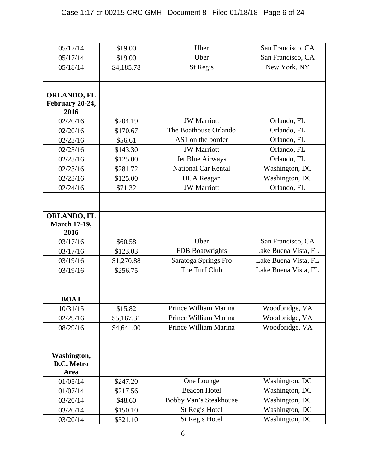| 05/17/14                  | \$19.00    | Uber                       | San Francisco, CA    |
|---------------------------|------------|----------------------------|----------------------|
| 05/17/14                  | \$19.00    | Uber                       | San Francisco, CA    |
| 05/18/14                  | \$4,185.78 | St Regis                   | New York, NY         |
|                           |            |                            |                      |
|                           |            |                            |                      |
| <b>ORLANDO, FL</b>        |            |                            |                      |
| February 20-24,           |            |                            |                      |
| 2016                      |            |                            |                      |
| 02/20/16                  | \$204.19   | <b>JW</b> Marriott         | Orlando, FL          |
| 02/20/16                  | \$170.67   | The Boathouse Orlando      | Orlando, FL          |
| 02/23/16                  | \$56.61    | AS1 on the border          | Orlando, FL          |
| 02/23/16                  | \$143.30   | <b>JW</b> Marriott         | Orlando, FL          |
| 02/23/16                  | \$125.00   | Jet Blue Airways           | Orlando, FL          |
| 02/23/16                  | \$281.72   | <b>National Car Rental</b> | Washington, DC       |
| 02/23/16                  | \$125.00   | DCA Reagan                 | Washington, DC       |
| 02/24/16                  | \$71.32    | <b>JW</b> Marriott         | Orlando, FL          |
|                           |            |                            |                      |
|                           |            |                            |                      |
| <b>ORLANDO, FL</b>        |            |                            |                      |
| <b>March 17-19,</b>       |            |                            |                      |
| 2016                      |            | Uber                       |                      |
| 03/17/16                  | \$60.58    |                            | San Francisco, CA    |
| 03/17/16                  | \$123.03   | <b>FDB</b> Boatwrights     | Lake Buena Vista, FL |
| 03/19/16                  | \$1,270.88 | Saratoga Springs Fro       | Lake Buena Vista, FL |
| 03/19/16                  | \$256.75   | The Turf Club              | Lake Buena Vista, FL |
|                           |            |                            |                      |
|                           |            |                            |                      |
| <b>BOAT</b>               |            |                            |                      |
| 10/31/15                  | \$15.82    | Prince William Marina      | Woodbridge, VA       |
| 02/29/16                  | \$5,167.31 | Prince William Marina      | Woodbridge, VA       |
| 08/29/16                  | \$4,641.00 | Prince William Marina      | Woodbridge, VA       |
|                           |            |                            |                      |
|                           |            |                            |                      |
| Washington,<br>D.C. Metro |            |                            |                      |
| Area                      |            |                            |                      |
| 01/05/14                  | \$247.20   | One Lounge                 | Washington, DC       |
| 01/07/14                  | \$217.56   | <b>Beacon Hotel</b>        | Washington, DC       |
| 03/20/14                  | \$48.60    | Bobby Van's Steakhouse     | Washington, DC       |
| 03/20/14                  | \$150.10   | <b>St Regis Hotel</b>      | Washington, DC       |
| 03/20/14                  | \$321.10   | St Regis Hotel             | Washington, DC       |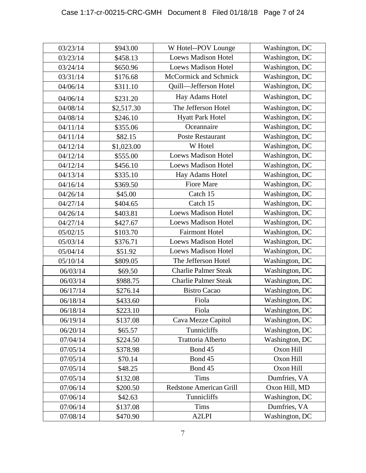| 03/23/14 | \$943.00   | W Hotel--POV Lounge            | Washington, DC |
|----------|------------|--------------------------------|----------------|
| 03/23/14 | \$458.13   | <b>Loews Madison Hotel</b>     | Washington, DC |
| 03/24/14 | \$650.96   | <b>Loews Madison Hotel</b>     | Washington, DC |
| 03/31/14 | \$176.68   | McCormick and Schmick          | Washington, DC |
| 04/06/14 | \$311.10   | Quill-Jefferson Hotel          | Washington, DC |
| 04/06/14 | \$231.20   | Hay Adams Hotel                | Washington, DC |
| 04/08/14 | \$2,517.30 | The Jefferson Hotel            | Washington, DC |
| 04/08/14 | \$246.10   | <b>Hyatt Park Hotel</b>        | Washington, DC |
| 04/11/14 | \$355.06   | Oceannaire                     | Washington, DC |
| 04/11/14 | \$82.15    | <b>Poste Restaurant</b>        | Washington, DC |
| 04/12/14 | \$1,023.00 | W Hotel                        | Washington, DC |
| 04/12/14 | \$555.00   | <b>Loews Madison Hotel</b>     | Washington, DC |
| 04/12/14 | \$456.10   | <b>Loews Madison Hotel</b>     | Washington, DC |
| 04/13/14 | \$335.10   | Hay Adams Hotel                | Washington, DC |
| 04/16/14 | \$369.50   | <b>Fiore Mare</b>              | Washington, DC |
| 04/26/14 | \$45.00    | Catch 15                       | Washington, DC |
| 04/27/14 | \$404.65   | Catch 15                       | Washington, DC |
| 04/26/14 | \$403.81   | <b>Loews Madison Hotel</b>     | Washington, DC |
| 04/27/14 | \$427.67   | <b>Loews Madison Hotel</b>     | Washington, DC |
| 05/02/15 | \$103.70   | <b>Fairmont Hotel</b>          | Washington, DC |
| 05/03/14 | \$376.71   | <b>Loews Madison Hotel</b>     | Washington, DC |
| 05/04/14 | \$51.92    | <b>Loews Madison Hotel</b>     | Washington, DC |
| 05/10/14 | \$809.05   | The Jefferson Hotel            | Washington, DC |
| 06/03/14 | \$69.50    | <b>Charlie Palmer Steak</b>    | Washington, DC |
| 06/03/14 | \$988.75   | <b>Charlie Palmer Steak</b>    | Washington, DC |
| 06/17/14 | \$276.14   | <b>Bistro Cacao</b>            | Washington, DC |
| 06/18/14 | \$433.60   | Fiola                          | Washington, DC |
| 06/18/14 | \$223.10   | Fiola                          | Washington, DC |
| 06/19/14 | \$137.08   | Cava Mezze Capitol             | Washington, DC |
| 06/20/14 | \$65.57    | Tunnicliffs                    | Washington, DC |
| 07/04/14 | \$224.50   | Trattoria Alberto              | Washington, DC |
| 07/05/14 | \$378.98   | Bond 45                        | Oxon Hill      |
| 07/05/14 | \$70.14    | Bond 45                        | Oxon Hill      |
| 07/05/14 | \$48.25    | Bond 45                        | Oxon Hill      |
| 07/05/14 | \$132.08   | <b>Tims</b>                    | Dumfries, VA   |
| 07/06/14 | \$200.50   | <b>Redstone American Grill</b> | Oxon Hill, MD  |
| 07/06/14 | \$42.63    | Tunnicliffs                    | Washington, DC |
| 07/06/14 | \$137.08   | <b>Tims</b>                    | Dumfries, VA   |
| 07/08/14 | \$470.90   | A2LPI                          | Washington, DC |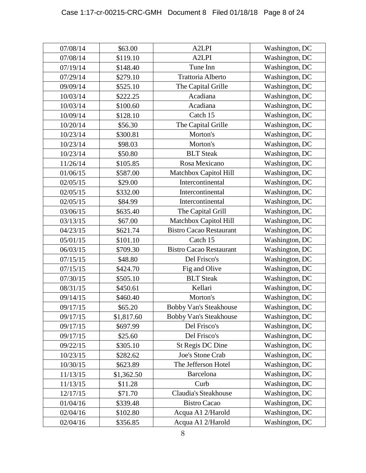| 07/08/14 | \$63.00    | A <sub>2</sub> LPI             | Washington, DC |
|----------|------------|--------------------------------|----------------|
| 07/08/14 | \$119.10   | A <sub>2</sub> LPI             | Washington, DC |
| 07/19/14 | \$148.40   | Tune Inn                       | Washington, DC |
| 07/29/14 | \$279.10   | Trattoria Alberto              | Washington, DC |
| 09/09/14 | \$525.10   | The Capital Grille             | Washington, DC |
| 10/03/14 | \$222.25   | Acadiana                       | Washington, DC |
| 10/03/14 | \$100.60   | Acadiana                       | Washington, DC |
| 10/09/14 | \$128.10   | Catch 15                       | Washington, DC |
| 10/20/14 | \$56.30    | The Capital Grille             | Washington, DC |
| 10/23/14 | \$300.81   | Morton's                       | Washington, DC |
| 10/23/14 | \$98.03    | Morton's                       | Washington, DC |
| 10/23/14 | \$50.80    | <b>BLT</b> Steak               | Washington, DC |
| 11/26/14 | \$105.85   | Rosa Mexicano                  | Washington, DC |
| 01/06/15 | \$587.00   | Matchbox Capitol Hill          | Washington, DC |
| 02/05/15 | \$29.00    | Intercontinental               | Washington, DC |
| 02/05/15 | \$332.00   | Intercontinental               | Washington, DC |
| 02/05/15 | \$84.99    | Intercontinental               | Washington, DC |
| 03/06/15 | \$635.40   | The Capital Grill              | Washington, DC |
| 03/13/15 | \$67.00    | Matchbox Capitol Hill          | Washington, DC |
| 04/23/15 | \$621.74   | <b>Bistro Cacao Restaurant</b> | Washington, DC |
| 05/01/15 | \$101.10   | Catch 15                       | Washington, DC |
| 06/03/15 | \$709.30   | <b>Bistro Cacao Restaurant</b> | Washington, DC |
| 07/15/15 | \$48.80    | Del Frisco's                   | Washington, DC |
| 07/15/15 | \$424.70   | Fig and Olive                  | Washington, DC |
| 07/30/15 | \$505.10   | <b>BLT</b> Steak               | Washington, DC |
| 08/31/15 | \$450.61   | Kellari                        | Washington, DC |
| 09/14/15 | \$460.40   | Morton's                       | Washington, DC |
| 09/17/15 | \$65.20    | Bobby Van's Steakhouse         | Washington, DC |
| 09/17/15 | \$1,817.60 | Bobby Van's Steakhouse         | Washington, DC |
| 09/17/15 | \$697.99   | Del Frisco's                   | Washington, DC |
| 09/17/15 | \$25.60    | Del Frisco's                   | Washington, DC |
| 09/22/15 | \$305.10   | St Regis DC Dine               | Washington, DC |
| 10/23/15 | \$282.62   | <b>Joe's Stone Crab</b>        | Washington, DC |
| 10/30/15 | \$623.89   | The Jefferson Hotel            | Washington, DC |
| 11/13/15 | \$1,362.50 | Barcelona                      | Washington, DC |
| 11/13/15 | \$11.28    | Curb                           | Washington, DC |
| 12/17/15 | \$71.70    | Claudia's Steakhouse           | Washington, DC |
| 01/04/16 | \$339.48   | <b>Bistro Cacao</b>            | Washington, DC |
| 02/04/16 | \$102.80   | Acqua A1 2/Harold              | Washington, DC |
| 02/04/16 | \$356.85   | Acqua A1 2/Harold              | Washington, DC |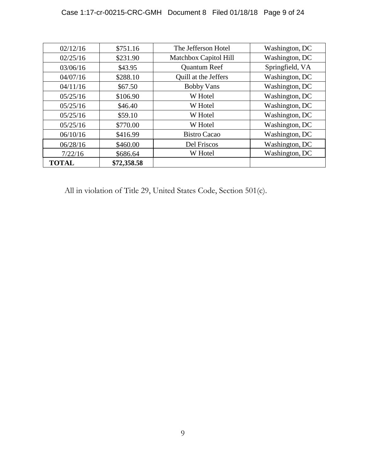| 02/12/16     | \$751.16    | The Jefferson Hotel   | Washington, DC  |
|--------------|-------------|-----------------------|-----------------|
| 02/25/16     | \$231.90    | Matchbox Capitol Hill | Washington, DC  |
| 03/06/16     | \$43.95     | <b>Quantum Reef</b>   | Springfield, VA |
| 04/07/16     | \$288.10    | Quill at the Jeffers  | Washington, DC  |
| 04/11/16     | \$67.50     | <b>Bobby Vans</b>     | Washington, DC  |
| 05/25/16     | \$106.90    | W Hotel               | Washington, DC  |
| 05/25/16     | \$46.40     | W Hotel               | Washington, DC  |
| 05/25/16     | \$59.10     | W Hotel               | Washington, DC  |
| 05/25/16     | \$770.00    | W Hotel               | Washington, DC  |
| 06/10/16     | \$416.99    | <b>Bistro Cacao</b>   | Washington, DC  |
| 06/28/16     | \$460.00    | Del Friscos           | Washington, DC  |
| 7/22/16      | \$686.64    | W Hotel               | Washington, DC  |
| <b>TOTAL</b> | \$72,358.58 |                       |                 |

All in violation of Title 29, United States Code, Section 501(c).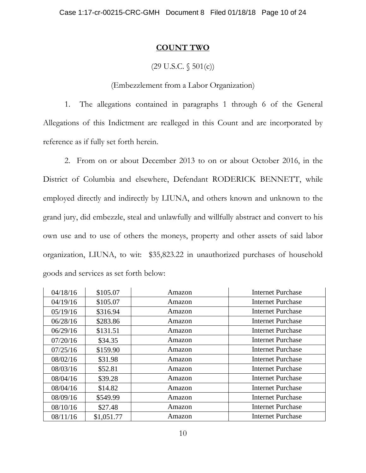## **COUNT TWO**

# $(29 \text{ U.S.C. } \S 501(c))$

## (Embezzlement from a Labor Organization)

1. The allegations contained in paragraphs 1 through 6 of the General Allegations of this Indictment are realleged in this Count and are incorporated by reference as if fully set forth herein.

2. From on or about December 2013 to on or about October 2016, in the District of Columbia and elsewhere, Defendant RODERICK BENNETT, while employed directly and indirectly by LIUNA, and others known and unknown to the grand jury, did embezzle, steal and unlawfully and willfully abstract and convert to his own use and to use of others the moneys, property and other assets of said labor organization, LIUNA, to wit: \$35,823.22 in unauthorized purchases of household goods and services as set forth below:

| 04/18/16 | \$105.07   | Amazon | <b>Internet Purchase</b> |
|----------|------------|--------|--------------------------|
| 04/19/16 | \$105.07   | Amazon | <b>Internet Purchase</b> |
| 05/19/16 | \$316.94   | Amazon | <b>Internet Purchase</b> |
| 06/28/16 | \$283.86   | Amazon | <b>Internet Purchase</b> |
| 06/29/16 | \$131.51   | Amazon | <b>Internet Purchase</b> |
| 07/20/16 | \$34.35    | Amazon | Internet Purchase        |
| 07/25/16 | \$159.90   | Amazon | <b>Internet Purchase</b> |
| 08/02/16 | \$31.98    | Amazon | <b>Internet Purchase</b> |
| 08/03/16 | \$52.81    | Amazon | <b>Internet Purchase</b> |
| 08/04/16 | \$39.28    | Amazon | <b>Internet Purchase</b> |
| 08/04/16 | \$14.82    | Amazon | <b>Internet Purchase</b> |
| 08/09/16 | \$549.99   | Amazon | <b>Internet Purchase</b> |
| 08/10/16 | \$27.48    | Amazon | <b>Internet Purchase</b> |
| 08/11/16 | \$1,051.77 | Amazon | <b>Internet Purchase</b> |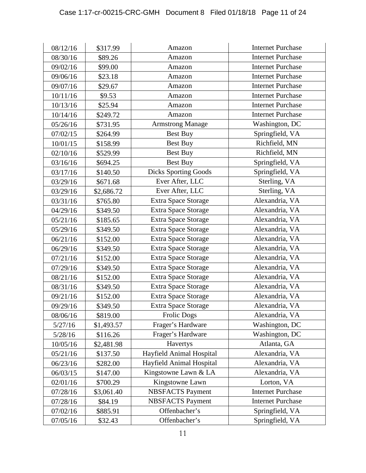| 08/12/16 | \$317.99   | Amazon                      | <b>Internet Purchase</b> |
|----------|------------|-----------------------------|--------------------------|
| 08/30/16 | \$89.26    | Amazon                      | <b>Internet Purchase</b> |
| 09/02/16 | \$99.00    | Amazon                      | <b>Internet Purchase</b> |
| 09/06/16 | \$23.18    | Amazon                      | <b>Internet Purchase</b> |
| 09/07/16 | \$29.67    | Amazon                      | <b>Internet Purchase</b> |
| 10/11/16 | \$9.53     | Amazon                      | <b>Internet Purchase</b> |
| 10/13/16 | \$25.94    | Amazon                      | <b>Internet Purchase</b> |
| 10/14/16 | \$249.72   | Amazon                      | <b>Internet Purchase</b> |
| 05/26/16 | \$731.95   | <b>Armstrong Manage</b>     | Washington, DC           |
| 07/02/15 | \$264.99   | Best Buy                    | Springfield, VA          |
| 10/01/15 | \$158.99   | Best Buy                    | Richfield, MN            |
| 02/10/16 | \$529.99   | Best Buy                    | Richfield, MN            |
| 03/16/16 | \$694.25   | Best Buy                    | Springfield, VA          |
| 03/17/16 | \$140.50   | <b>Dicks Sporting Goods</b> | Springfield, VA          |
| 03/29/16 | \$671.68   | Ever After, LLC             | Sterling, VA             |
| 03/29/16 | \$2,686.72 | Ever After, LLC             | Sterling, VA             |
| 03/31/16 | \$765.80   | Extra Space Storage         | Alexandria, VA           |
| 04/29/16 | \$349.50   | Extra Space Storage         | Alexandria, VA           |
| 05/21/16 | \$185.65   | Extra Space Storage         | Alexandria, VA           |
| 05/29/16 | \$349.50   | Extra Space Storage         | Alexandria, VA           |
| 06/21/16 | \$152.00   | Extra Space Storage         | Alexandria, VA           |
| 06/29/16 | \$349.50   | Extra Space Storage         | Alexandria, VA           |
| 07/21/16 | \$152.00   | Extra Space Storage         | Alexandria, VA           |
| 07/29/16 | \$349.50   | Extra Space Storage         | Alexandria, VA           |
| 08/21/16 | \$152.00   | Extra Space Storage         | Alexandria, VA           |
| 08/31/16 | \$349.50   | <b>Extra Space Storage</b>  | Alexandria, VA           |
| 09/21/16 | \$152.00   | Extra Space Storage         | Alexandria, VA           |
| 09/29/16 | \$349.50   | <b>Extra Space Storage</b>  | Alexandria, VA           |
| 08/06/16 | \$819.00   | <b>Frolic Dogs</b>          | Alexandria, VA           |
| 5/27/16  | \$1,493.57 | Frager's Hardware           | Washington, DC           |
| 5/28/16  | \$116.26   | Frager's Hardware           | Washington, DC           |
| 10/05/16 | \$2,481.98 | Havertys                    | Atlanta, GA              |
| 05/21/16 | \$137.50   | Hayfield Animal Hospital    | Alexandria, VA           |
| 06/23/16 | \$282.00   | Hayfield Animal Hospital    | Alexandria, VA           |
| 06/03/15 | \$147.00   | Kingstowne Lawn & LA        | Alexandria, VA           |
| 02/01/16 | \$700.29   | Kingstowne Lawn             | Lorton, VA               |
| 07/28/16 | \$3,061.40 | <b>NBSFACTS</b> Payment     | <b>Internet Purchase</b> |
| 07/28/16 | \$84.19    | <b>NBSFACTS</b> Payment     | <b>Internet Purchase</b> |
| 07/02/16 | \$885.91   | Offenbacher's               | Springfield, VA          |
| 07/05/16 | \$32.43    | Offenbacher's               | Springfield, VA          |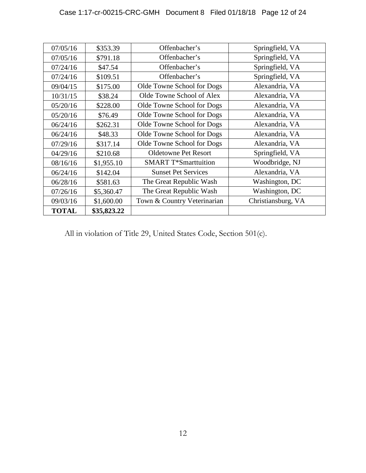| 07/05/16     | \$353.39    | Offenbacher's               | Springfield, VA    |
|--------------|-------------|-----------------------------|--------------------|
| 07/05/16     | \$791.18    | Offenbacher's               | Springfield, VA    |
| 07/24/16     | \$47.54     | Offenbacher's               | Springfield, VA    |
| 07/24/16     | \$109.51    | Offenbacher's               | Springfield, VA    |
| 09/04/15     | \$175.00    | Olde Towne School for Dogs  | Alexandria, VA     |
| 10/31/15     | \$38.24     | Olde Towne School of Alex   | Alexandria, VA     |
| 05/20/16     | \$228.00    | Olde Towne School for Dogs  | Alexandria, VA     |
| 05/20/16     | \$76.49     | Olde Towne School for Dogs  | Alexandria, VA     |
| 06/24/16     | \$262.31    | Olde Towne School for Dogs  | Alexandria, VA     |
| 06/24/16     | \$48.33     | Olde Towne School for Dogs  | Alexandria, VA     |
| 07/29/16     | \$317.14    | Olde Towne School for Dogs  | Alexandria, VA     |
| 04/29/16     | \$210.68    | <b>Oldetowne Pet Resort</b> | Springfield, VA    |
| 08/16/16     | \$1,955.10  | <b>SMART T*Smarttuition</b> | Woodbridge, NJ     |
| 06/24/16     | \$142.04    | <b>Sunset Pet Services</b>  | Alexandria, VA     |
| 06/28/16     | \$581.63    | The Great Republic Wash     | Washington, DC     |
| 07/26/16     | \$5,360.47  | The Great Republic Wash     | Washington, DC     |
| 09/03/16     | \$1,600.00  | Town & Country Veterinarian | Christiansburg, VA |
| <b>TOTAL</b> | \$35,823.22 |                             |                    |

All in violation of Title 29, United States Code, Section 501(c).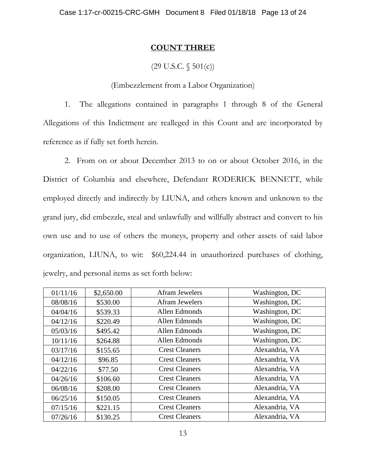## **COUNT THREE**

# $(29 \text{ U.S.C. } \S 501(c))$

# (Embezzlement from a Labor Organization)

1. The allegations contained in paragraphs 1 through 8 of the General Allegations of this Indictment are realleged in this Count and are incorporated by reference as if fully set forth herein.

2. From on or about December 2013 to on or about October 2016, in the District of Columbia and elsewhere, Defendant RODERICK BENNETT, while employed directly and indirectly by LIUNA, and others known and unknown to the grand jury, did embezzle, steal and unlawfully and willfully abstract and convert to his own use and to use of others the moneys, property and other assets of said labor organization, LIUNA, to wit: \$60,224.44 in unauthorized purchases of clothing, jewelry, and personal items as set forth below:

| 01/11/16 | \$2,650.00 | Afram Jewelers        | Washington, DC |
|----------|------------|-----------------------|----------------|
| 08/08/16 | \$530.00   | <b>Afram Jewelers</b> | Washington, DC |
| 04/04/16 | \$539.33   | Allen Edmonds         | Washington, DC |
| 04/12/16 | \$220.49   | Allen Edmonds         | Washington, DC |
| 05/03/16 | \$495.42   | Allen Edmonds         | Washington, DC |
| 10/11/16 | \$264.88   | Allen Edmonds         | Washington, DC |
| 03/17/16 | \$155.65   | <b>Crest Cleaners</b> | Alexandria, VA |
| 04/12/16 | \$96.85    | <b>Crest Cleaners</b> | Alexandria, VA |
| 04/22/16 | \$77.50    | <b>Crest Cleaners</b> | Alexandria, VA |
| 04/26/16 | \$106.60   | <b>Crest Cleaners</b> | Alexandria, VA |
| 06/08/16 | \$208.00   | <b>Crest Cleaners</b> | Alexandria, VA |
| 06/25/16 | \$150.05   | <b>Crest Cleaners</b> | Alexandria, VA |
| 07/15/16 | \$221.15   | <b>Crest Cleaners</b> | Alexandria, VA |
| 07/26/16 | \$130.25   | <b>Crest Cleaners</b> | Alexandria, VA |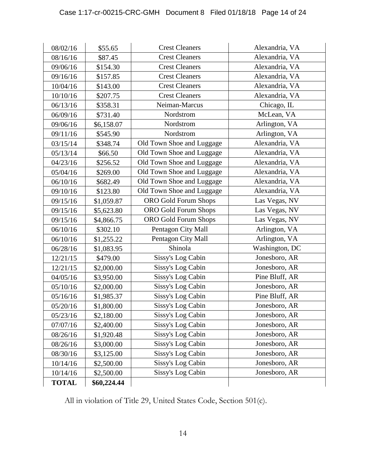| 08/02/16     | \$55.65     | <b>Crest Cleaners</b>       | Alexandria, VA |
|--------------|-------------|-----------------------------|----------------|
| 08/16/16     | \$87.45     | <b>Crest Cleaners</b>       | Alexandria, VA |
| 09/06/16     | \$154.30    | <b>Crest Cleaners</b>       | Alexandria, VA |
| 09/16/16     | \$157.85    | <b>Crest Cleaners</b>       | Alexandria, VA |
| 10/04/16     | \$143.00    | <b>Crest Cleaners</b>       | Alexandria, VA |
| 10/10/16     | \$207.75    | <b>Crest Cleaners</b>       | Alexandria, VA |
| 06/13/16     | \$358.31    | Neiman-Marcus               | Chicago, IL    |
| 06/09/16     | \$731.40    | Nordstrom                   | McLean, VA     |
| 09/06/16     | \$6,158.07  | Nordstrom                   | Arlington, VA  |
| 09/11/16     | \$545.90    | Nordstrom                   | Arlington, VA  |
| 03/15/14     | \$348.74    | Old Town Shoe and Luggage   | Alexandria, VA |
| 05/13/14     | \$66.50     | Old Town Shoe and Luggage   | Alexandria, VA |
| 04/23/16     | \$256.52    | Old Town Shoe and Luggage   | Alexandria, VA |
| 05/04/16     | \$269.00    | Old Town Shoe and Luggage   | Alexandria, VA |
| 06/10/16     | \$682.49    | Old Town Shoe and Luggage   | Alexandria, VA |
| 09/10/16     | \$123.80    | Old Town Shoe and Luggage   | Alexandria, VA |
| 09/15/16     | \$1,059.87  | <b>ORO</b> Gold Forum Shops | Las Vegas, NV  |
| 09/15/16     | \$5,623.80  | <b>ORO</b> Gold Forum Shops | Las Vegas, NV  |
| 09/15/16     | \$4,866.75  | <b>ORO</b> Gold Forum Shops | Las Vegas, NV  |
| 06/10/16     | \$302.10    | Pentagon City Mall          | Arlington, VA  |
| 06/10/16     | \$1,255.22  | Pentagon City Mall          | Arlington, VA  |
| 06/28/16     | \$1,083.95  | Shinola                     | Washington, DC |
| 12/21/15     | \$479.00    | Sissy's Log Cabin           | Jonesboro, AR  |
| 12/21/15     | \$2,000.00  | Sissy's Log Cabin           | Jonesboro, AR  |
| 04/05/16     | \$3,950.00  | Sissy's Log Cabin           | Pine Bluff, AR |
| 05/10/16     | \$2,000.00  | Sissy's Log Cabin           | Jonesboro, AR  |
| 05/16/16     | \$1,985.37  | Sissy's Log Cabin           | Pine Bluff, AR |
| 05/20/16     | \$1,800.00  | Sissy's Log Cabin           | Jonesboro, AR  |
| 05/23/16     | \$2,180.00  | Sissy's Log Cabin           | Jonesboro, AR  |
| 07/07/16     | \$2,400.00  | Sissy's Log Cabin           | Jonesboro, AR  |
| 08/26/16     | \$1,920.48  | Sissy's Log Cabin           | Jonesboro, AR  |
| 08/26/16     | \$3,000.00  | Sissy's Log Cabin           | Jonesboro, AR  |
| 08/30/16     | \$3,125.00  | Sissy's Log Cabin           | Jonesboro, AR  |
| 10/14/16     | \$2,500.00  | Sissy's Log Cabin           | Jonesboro, AR  |
| 10/14/16     | \$2,500.00  | Sissy's Log Cabin           | Jonesboro, AR  |
| <b>TOTAL</b> | \$60,224.44 |                             |                |

All in violation of Title 29, United States Code, Section 501(c).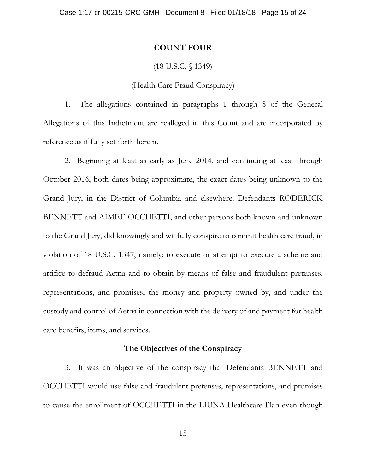#### **COUNT FOUR**

### (18 U.S.C. § 1349)

## (Health Care Fraud Conspiracy)

1. The allegations contained in paragraphs 1 through 8 of the General Allegations of this Indictment are realleged in this Count and are incorporated by reference as if fully set forth herein.

2. Beginning at least as early as June 2014, and continuing at least through October 2016, both dates being approximate, the exact dates being unknown to the Grand Jury, in the District of Columbia and elsewhere, Defendants RODERICK BENNETT and AIMEE OCCHETTI, and other persons both known and unknown to the Grand Jury, did knowingly and willfully conspire to commit health care fraud, in violation of 18 U.S.C. 1347, namely: to execute or attempt to execute a scheme and artifice to defraud Aetna and to obtain by means of false and fraudulent pretenses, representations, and promises, the money and property owned by, and under the custody and control of Aetna in connection with the delivery of and payment for health care benefits, items, and services.

#### **The Objectives of the Conspiracy**

3. It was an objective of the conspiracy that Defendants BENNETT and OCCHETTI would use false and fraudulent pretenses, representations, and promises to cause the enrollment of OCCHETTI in the LIUNA Healthcare Plan even though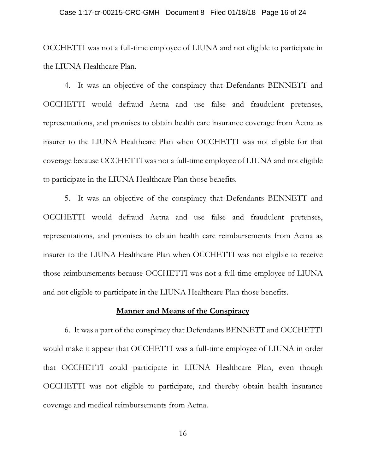#### Case 1:17-cr-00215-CRC-GMH Document 8 Filed 01/18/18 Page 16 of 24

OCCHETTI was not a full-time employee of LIUNA and not eligible to participate in the LIUNA Healthcare Plan.

4. It was an objective of the conspiracy that Defendants BENNETT and OCCHETTI would defraud Aetna and use false and fraudulent pretenses, representations, and promises to obtain health care insurance coverage from Aetna as insurer to the LIUNA Healthcare Plan when OCCHETTI was not eligible for that coverage because OCCHETTI was not a full-time employee of LIUNA and not eligible to participate in the LIUNA Healthcare Plan those benefits.

5. It was an objective of the conspiracy that Defendants BENNETT and OCCHETTI would defraud Aetna and use false and fraudulent pretenses, representations, and promises to obtain health care reimbursements from Aetna as insurer to the LIUNA Healthcare Plan when OCCHETTI was not eligible to receive those reimbursements because OCCHETTI was not a full-time employee of LIUNA and not eligible to participate in the LIUNA Healthcare Plan those benefits.

#### **Manner and Means of the Conspiracy**

6. It was a part of the conspiracy that Defendants BENNETT and OCCHETTI would make it appear that OCCHETTI was a full-time employee of LIUNA in order that OCCHETTI could participate in LIUNA Healthcare Plan, even though OCCHETTI was not eligible to participate, and thereby obtain health insurance coverage and medical reimbursements from Aetna.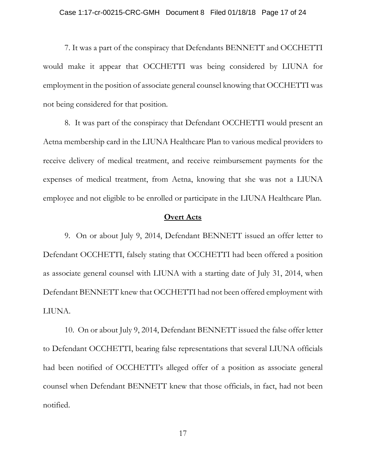#### Case 1:17-cr-00215-CRC-GMH Document 8 Filed 01/18/18 Page 17 of 24

7. It was a part of the conspiracy that Defendants BENNETT and OCCHETTI would make it appear that OCCHETTI was being considered by LIUNA for employment in the position of associate general counsel knowing that OCCHETTI was not being considered for that position.

8. It was part of the conspiracy that Defendant OCCHETTI would present an Aetna membership card in the LIUNA Healthcare Plan to various medical providers to receive delivery of medical treatment, and receive reimbursement payments for the expenses of medical treatment, from Aetna, knowing that she was not a LIUNA employee and not eligible to be enrolled or participate in the LIUNA Healthcare Plan.

### **Overt Acts**

9. On or about July 9, 2014, Defendant BENNETT issued an offer letter to Defendant OCCHETTI, falsely stating that OCCHETTI had been offered a position as associate general counsel with LIUNA with a starting date of July 31, 2014, when Defendant BENNETT knew that OCCHETTI had not been offered employment with LIUNA.

10. On or about July 9, 2014, Defendant BENNETT issued the false offer letter to Defendant OCCHETTI, bearing false representations that several LIUNA officials had been notified of OCCHETTI's alleged offer of a position as associate general counsel when Defendant BENNETT knew that those officials, in fact, had not been notified.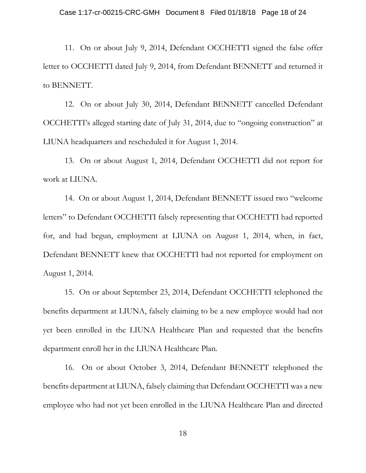11. On or about July 9, 2014, Defendant OCCHETTI signed the false offer letter to OCCHETTI dated July 9, 2014, from Defendant BENNETT and returned it to BENNETT.

12. On or about July 30, 2014, Defendant BENNETT cancelled Defendant OCCHETTI's alleged starting date of July 31, 2014, due to "ongoing construction" at LIUNA headquarters and rescheduled it for August 1, 2014.

13. On or about August 1, 2014, Defendant OCCHETTI did not report for work at LIUNA.

14. On or about August 1, 2014, Defendant BENNETT issued two "welcome letters" to Defendant OCCHETTI falsely representing that OCCHETTI had reported for, and had begun, employment at LIUNA on August 1, 2014, when, in fact, Defendant BENNETT knew that OCCHETTI had not reported for employment on August 1, 2014.

15. On or about September 23, 2014, Defendant OCCHETTI telephoned the benefits department at LIUNA, falsely claiming to be a new employee would had not yet been enrolled in the LIUNA Healthcare Plan and requested that the benefits department enroll her in the LIUNA Healthcare Plan.

16. On or about October 3, 2014, Defendant BENNETT telephoned the benefits department at LIUNA, falsely claiming that Defendant OCCHETTI was a new employee who had not yet been enrolled in the LIUNA Healthcare Plan and directed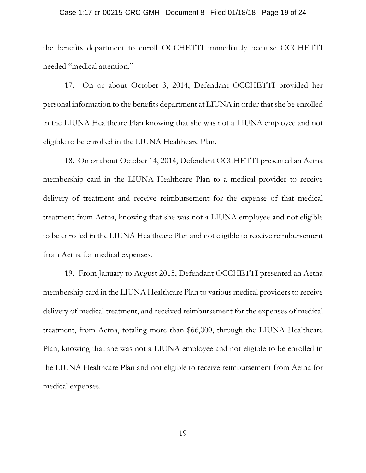#### Case 1:17-cr-00215-CRC-GMH Document 8 Filed 01/18/18 Page 19 of 24

the benefits department to enroll OCCHETTI immediately because OCCHETTI needed "medical attention."

17. On or about October 3, 2014, Defendant OCCHETTI provided her personal information to the benefits department at LIUNA in order that she be enrolled in the LIUNA Healthcare Plan knowing that she was not a LIUNA employee and not eligible to be enrolled in the LIUNA Healthcare Plan.

18. On or about October 14, 2014, Defendant OCCHETTI presented an Aetna membership card in the LIUNA Healthcare Plan to a medical provider to receive delivery of treatment and receive reimbursement for the expense of that medical treatment from Aetna, knowing that she was not a LIUNA employee and not eligible to be enrolled in the LIUNA Healthcare Plan and not eligible to receive reimbursement from Aetna for medical expenses.

19. From January to August 2015, Defendant OCCHETTI presented an Aetna membership card in the LIUNA Healthcare Plan to various medical providers to receive delivery of medical treatment, and received reimbursement for the expenses of medical treatment, from Aetna, totaling more than \$66,000, through the LIUNA Healthcare Plan, knowing that she was not a LIUNA employee and not eligible to be enrolled in the LIUNA Healthcare Plan and not eligible to receive reimbursement from Aetna for medical expenses.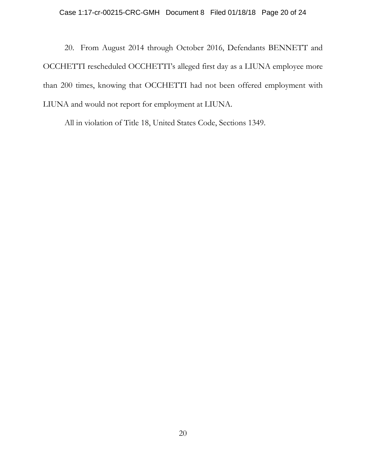20. From August 2014 through October 2016, Defendants BENNETT and OCCHETTI rescheduled OCCHETTI's alleged first day as a LIUNA employee more than 200 times, knowing that OCCHETTI had not been offered employment with LIUNA and would not report for employment at LIUNA.

All in violation of Title 18, United States Code, Sections 1349.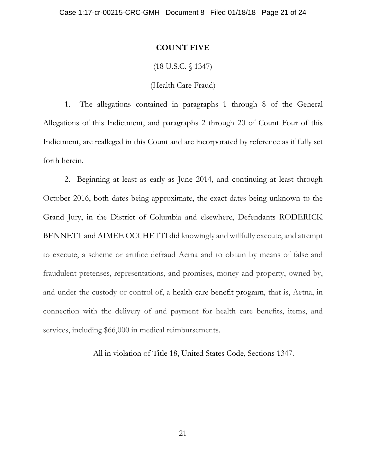#### **COUNT FIVE**

## (18 U.S.C. § 1347)

### (Health Care Fraud)

1. The allegations contained in paragraphs 1 through 8 of the General Allegations of this Indictment, and paragraphs 2 through 20 of Count Four of this Indictment, are realleged in this Count and are incorporated by reference as if fully set forth herein.

2. Beginning at least as early as June 2014, and continuing at least through October 2016, both dates being approximate, the exact dates being unknown to the Grand Jury, in the District of Columbia and elsewhere, Defendants RODERICK BENNETT and AIMEE OCCHETTI did knowingly and willfully execute, and attempt to execute, a scheme or artifice defraud Aetna and to obtain by means of false and fraudulent pretenses, representations, and promises, money and property, owned by, and under the custody or control of, a [health care benefit program,](https://www.law.cornell.edu/definitions/uscode.php?width=840&height=800&iframe=true&def_id=18-USC-138290128-980242021&term_occur=4&term_src=title:18:part:I:chapter:63:section:1347) that is, Aetna, in connection with the delivery of and payment for health care benefits, items, and services, including \$66,000 in medical reimbursements.

All in violation of Title 18, United States Code, Sections 1347.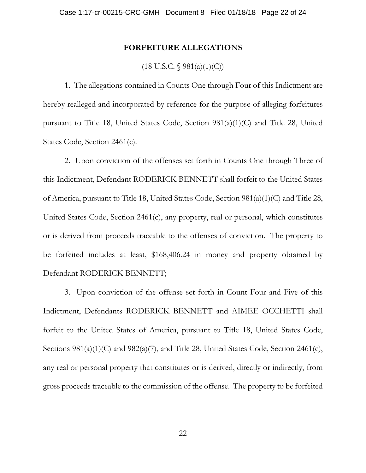### **FORFEITURE ALLEGATIONS**

# $(18 \text{ U.S.C. } \S 981(a)(1)(C))$

1. The allegations contained in Counts One through Four of this Indictment are hereby realleged and incorporated by reference for the purpose of alleging forfeitures pursuant to Title 18, United States Code, Section 981(a)(1)(C) and Title 28, United States Code, Section 2461(c).

2. Upon conviction of the offenses set forth in Counts One through Three of this Indictment, Defendant RODERICK BENNETT shall forfeit to the United States of America, pursuant to Title 18, United States Code, Section 981(a)(1)(C) and Title 28, United States Code, Section 2461(c), any property, real or personal, which constitutes or is derived from proceeds traceable to the offenses of conviction. The property to be forfeited includes at least, \$168,406.24 in money and property obtained by Defendant RODERICK BENNETT;

3. Upon conviction of the offense set forth in Count Four and Five of this Indictment, Defendants RODERICK BENNETT and AIMEE OCCHETTI shall forfeit to the United States of America, pursuant to Title 18, United States Code, Sections  $981(a)(1)(C)$  and  $982(a)(7)$ , and Title 28, United States Code, Section 2461(c), any real or personal property that constitutes or is derived, directly or indirectly, from gross proceeds traceable to the commission of the offense. The property to be forfeited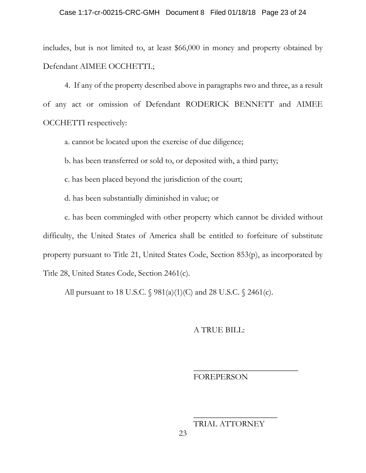#### Case 1:17-cr-00215-CRC-GMH Document 8 Filed 01/18/18 Page 23 of 24

includes, but is not limited to, at least \$66,000 in money and property obtained by Defendant AIMEE OCCHETTI.;

4. If any of the property described above in paragraphs two and three, as a result of any act or omission of Defendant RODERICK BENNETT and AIMEE OCCHETTI respectively:

a. cannot be located upon the exercise of due diligence;

b. has been transferred or sold to, or deposited with, a third party;

c. has been placed beyond the jurisdiction of the court;

d. has been substantially diminished in value; or

e. has been commingled with other property which cannot be divided without difficulty, the United States of America shall be entitled to forfeiture of substitute property pursuant to Title 21, United States Code, Section 853(p), as incorporated by Title 28, United States Code, Section 2461(c).

All pursuant to 18 U.S.C. § 981(a)(1)(C) and 28 U.S.C. § 2461(c).

### A TRUE BILL:

### FOREPERSON

\_\_\_\_\_\_\_\_\_\_\_\_\_\_\_\_\_\_\_\_\_\_\_\_\_

TRIAL ATTORNEY

\_\_\_\_\_\_\_\_\_\_\_\_\_\_\_\_\_\_\_\_